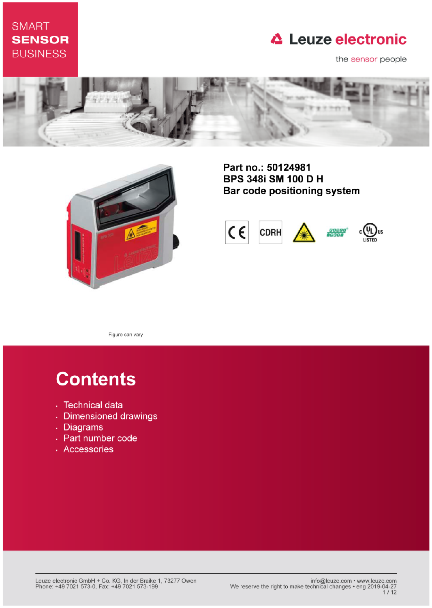# **SMART SENSOR BUSINESS**

# **△ Leuze electronic**

the sensor people





Part no.: 50124981 **BPS 348i SM 100 D H** Bar code positioning system



Figure can vary

# **Contents**

- · Technical data
- · Dimensioned drawings
- . Diagrams
- Part number code
- · Accessories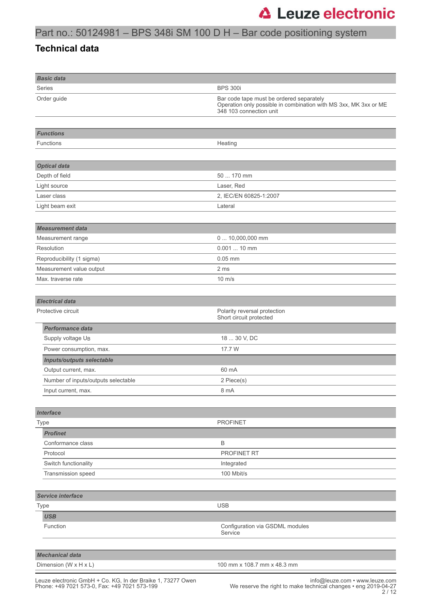#### **Technical data**

| <b>Basic data</b>                   |                                                                                                                                         |
|-------------------------------------|-----------------------------------------------------------------------------------------------------------------------------------------|
| <b>Series</b>                       | <b>BPS 300i</b>                                                                                                                         |
| Order guide                         | Bar code tape must be ordered separately<br>Operation only possible in combination with MS 3xx, MK 3xx or ME<br>348 103 connection unit |
|                                     |                                                                                                                                         |
| <b>Functions</b>                    |                                                                                                                                         |
| Functions                           | Heating                                                                                                                                 |
|                                     |                                                                                                                                         |
| <b>Optical data</b>                 |                                                                                                                                         |
| Depth of field                      | 50  170 mm                                                                                                                              |
| Light source                        | Laser, Red                                                                                                                              |
| Laser class                         | 2, IEC/EN 60825-1:2007                                                                                                                  |
| Light beam exit                     | Lateral                                                                                                                                 |
|                                     |                                                                                                                                         |
| <b>Measurement data</b>             |                                                                                                                                         |
| Measurement range                   | 0  10,000,000 mm                                                                                                                        |
| Resolution                          | $0.00110$ mm                                                                                                                            |
| Reproducibility (1 sigma)           | $0.05$ mm                                                                                                                               |
| Measurement value output            | 2 ms                                                                                                                                    |
| Max. traverse rate                  | $10 \text{ m/s}$                                                                                                                        |
|                                     |                                                                                                                                         |
| <b>Electrical data</b>              |                                                                                                                                         |
| Protective circuit                  | Polarity reversal protection<br>Short circuit protected                                                                                 |
| <b>Performance data</b>             |                                                                                                                                         |
| Supply voltage U <sub>B</sub>       | 18  30 V, DC                                                                                                                            |
| Power consumption, max.             | 17.7 W                                                                                                                                  |
| Inputs/outputs selectable           |                                                                                                                                         |
| Output current, max.                | 60 mA                                                                                                                                   |
| Number of inputs/outputs selectable | 2 Piece(s)                                                                                                                              |
| Input current, max.                 | 8 mA                                                                                                                                    |
|                                     |                                                                                                                                         |
| <b>Interface</b>                    |                                                                                                                                         |
| <b>Type</b>                         | <b>PROFINET</b>                                                                                                                         |
| <b>Profinet</b>                     |                                                                                                                                         |
| Conformance class                   | $\mathsf B$                                                                                                                             |
| Protocol                            | PROFINET RT                                                                                                                             |
| Switch functionality                | Integrated                                                                                                                              |
| Transmission speed                  | 100 Mbit/s                                                                                                                              |
|                                     |                                                                                                                                         |
| Service interface                   |                                                                                                                                         |
| <b>Type</b>                         | <b>USB</b>                                                                                                                              |
| <b>USB</b>                          |                                                                                                                                         |
| Function                            | Configuration via GSDML modules                                                                                                         |
|                                     | Service                                                                                                                                 |
|                                     |                                                                                                                                         |
| <b>Mechanical data</b>              |                                                                                                                                         |
| Dimension (W x H x L)               | 100 mm x 108.7 mm x 48.3 mm                                                                                                             |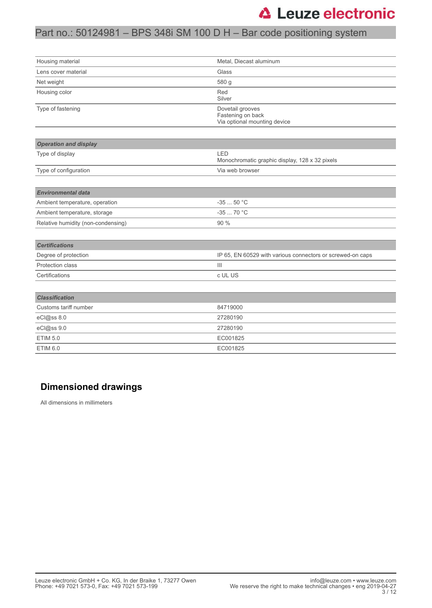# Part no.: 50124981 – BPS 348i SM 100 D H – Bar code positioning system

| Housing material                   | Metal, Diecast aluminum                                               |  |
|------------------------------------|-----------------------------------------------------------------------|--|
| Lens cover material                | Glass                                                                 |  |
| Net weight                         | 580 g                                                                 |  |
| Housing color                      | Red<br>Silver                                                         |  |
| Type of fastening                  | Dovetail grooves<br>Fastening on back<br>Via optional mounting device |  |
|                                    |                                                                       |  |
| <b>Operation and display</b>       |                                                                       |  |
| Type of display                    | LED<br>Monochromatic graphic display, 128 x 32 pixels                 |  |
| Type of configuration              | Via web browser                                                       |  |
|                                    |                                                                       |  |
| <b>Environmental data</b>          |                                                                       |  |
| Ambient temperature, operation     | $-3550 °C$                                                            |  |
| Ambient temperature, storage       | $-3570 °C$                                                            |  |
| Relative humidity (non-condensing) | 90 %                                                                  |  |
|                                    |                                                                       |  |
| <b>Certifications</b>              |                                                                       |  |
| Degree of protection               | IP 65, EN 60529 with various connectors or screwed-on caps            |  |
| Protection class                   | $\mathbf{III}$                                                        |  |
| Certifications                     | c UL US                                                               |  |
|                                    |                                                                       |  |
| <b>Classification</b>              |                                                                       |  |
| Customs tariff number              | 84719000                                                              |  |
| eCl@ss 8.0                         | 27280190                                                              |  |
| eCl@ss 9.0                         | 27280190                                                              |  |
| <b>ETIM 5.0</b>                    | EC001825                                                              |  |
| ETIM 6.0                           | EC001825                                                              |  |

#### **Dimensioned drawings**

All dimensions in millimeters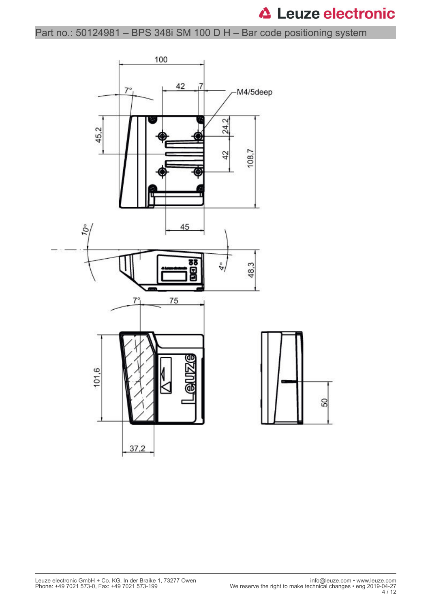Part no.: 50124981 – BPS 348i SM 100 D H – Bar code positioning system

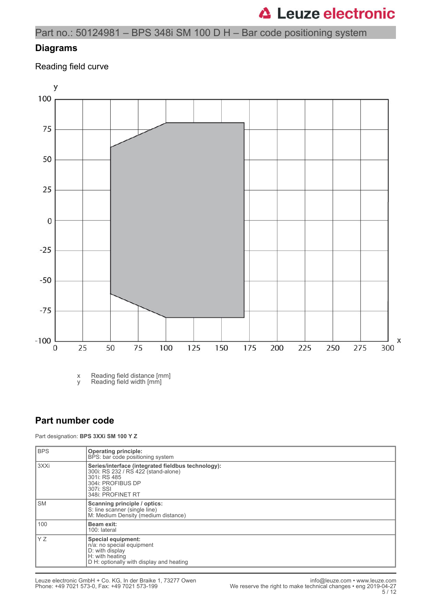Part no.: 50124981 – BPS 348i SM 100 D H – Bar code positioning system

#### **Diagrams**

Reading field curve



x Reading field distance [mm]

y Reading field width [mm]

#### **Part number code**

Part designation: **BPS 3XXi SM 100 Y Z**

| <b>BPS</b> | <b>Operating principle:</b><br>BPS: bar code positioning system                                                                                                  |
|------------|------------------------------------------------------------------------------------------------------------------------------------------------------------------|
| 3XXi       | Series/interface (integrated fieldbus technology):<br>300i: RS 232 / RS 422 (stand-alone)<br>301i: RS 485<br>304i: PROFIBUS DP<br>307i: SSI<br>348i: PROFINET RT |
| <b>SM</b>  | Scanning principle / optics:<br>S: line scanner (single line)<br>M: Medium Density (medium distance)                                                             |
| 100        | Beam exit:<br>100: lateral                                                                                                                                       |
| Y Z        | Special equipment:<br>n/a: no special equipment<br>D: with display<br>H: with heating<br>D H: optionally with display and heating                                |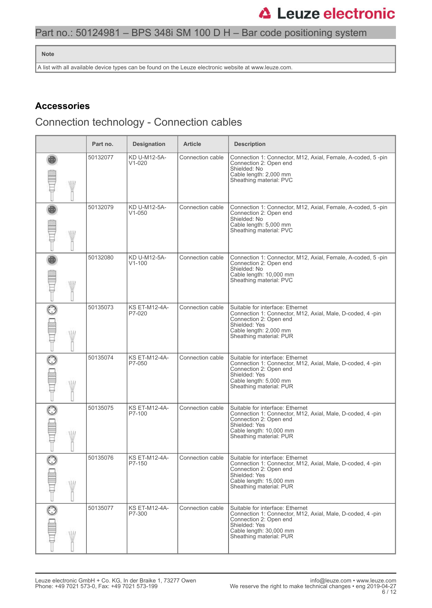### Part no.: 50124981 – BPS 348i SM 100 D H – Bar code positioning system

#### **Note**

A list with all available device types can be found on the Leuze electronic website at www.leuze.com.

#### **Accessories**

# Connection technology - Connection cables

|              | Part no. | <b>Designation</b>             | <b>Article</b>   | <b>Description</b>                                                                                                                                                                              |
|--------------|----------|--------------------------------|------------------|-------------------------------------------------------------------------------------------------------------------------------------------------------------------------------------------------|
| W            | 50132077 | KD U-M12-5A-<br>$V1-020$       | Connection cable | Connection 1: Connector, M12, Axial, Female, A-coded, 5-pin<br>Connection 2: Open end<br>Shielded: No<br>Cable length: 2,000 mm<br>Sheathing material: PVC                                      |
| W            | 50132079 | KD U-M12-5A-<br>$V1 - 050$     | Connection cable | Connection 1: Connector, M12, Axial, Female, A-coded, 5-pin<br>Connection 2: Open end<br>Shielded: No<br>Cable length: 5,000 mm<br>Sheathing material: PVC                                      |
| W            | 50132080 | KD U-M12-5A-<br>$V1 - 100$     | Connection cable | Connection 1: Connector, M12, Axial, Female, A-coded, 5-pin<br>Connection 2: Open end<br>Shielded: No<br>Cable length: 10,000 mm<br>Sheathing material: PVC                                     |
|              | 50135073 | <b>KS ET-M12-4A-</b><br>P7-020 | Connection cable | Suitable for interface: Ethernet<br>Connection 1: Connector, M12, Axial, Male, D-coded, 4-pin<br>Connection 2: Open end<br>Shielded: Yes<br>Cable length: 2,000 mm<br>Sheathing material: PUR   |
| W            | 50135074 | <b>KS ET-M12-4A-</b><br>P7-050 | Connection cable | Suitable for interface: Ethernet<br>Connection 1: Connector, M12, Axial, Male, D-coded, 4-pin<br>Connection 2: Open end<br>Shielded: Yes<br>Cable length: 5,000 mm<br>Sheathing material: PUR   |
|              | 50135075 | <b>KS ET-M12-4A-</b><br>P7-100 | Connection cable | Suitable for interface: Ethernet<br>Connection 1: Connector, M12, Axial, Male, D-coded, 4 -pin<br>Connection 2: Open end<br>Shielded: Yes<br>Cable length: 10,000 mm<br>Sheathing material: PUR |
| W            | 50135076 | <b>KS ET-M12-4A-</b><br>P7-150 | Connection cable | Suitable for interface: Ethernet<br>Connection 1: Connector, M12, Axial, Male, D-coded, 4-pin<br>Connection 2: Open end<br>Shielded: Yes<br>Cable length: 15,000 mm<br>Sheathing material: PUR  |
| $\odot$<br>W | 50135077 | <b>KS ET-M12-4A-</b><br>P7-300 | Connection cable | Suitable for interface: Ethernet<br>Connection 1: Connector, M12, Axial, Male, D-coded, 4-pin<br>Connection 2: Open end<br>Shielded: Yes<br>Cable length: 30,000 mm<br>Sheathing material: PUR  |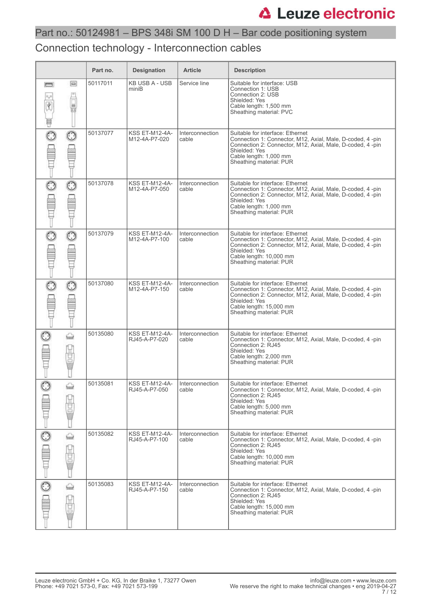#### Connection technology - Interconnection cables

|                                       |             | Part no. | <b>Designation</b>                     | <b>Article</b>                  | <b>Description</b>                                                                                                                                                                                                                 |
|---------------------------------------|-------------|----------|----------------------------------------|---------------------------------|------------------------------------------------------------------------------------------------------------------------------------------------------------------------------------------------------------------------------------|
| <b>Forms</b><br>$\alpha$ o<br>À.<br>W | ⊟           | 50117011 | <b>KB USB A - USB</b><br>miniB         | Service line                    | Suitable for interface: USB<br>Connection 1: USB<br>Connection 2: USB<br>Shielded: Yes<br>Cable length: 1,500 mm<br>Sheathing material: PVC                                                                                        |
| $\odot$                               | $_{\odot}$  | 50137077 | <b>KSS ET-M12-4A-</b><br>M12-4A-P7-020 | Interconnection<br>cable        | Suitable for interface: Ethernet<br>Connection 1: Connector, M12, Axial, Male, D-coded, 4-pin<br>Connection 2: Connector, M12, Axial, Male, D-coded, 4-pin<br>Shielded: Yes<br>Cable length: 1,000 mm<br>Sheathing material: PUR   |
|                                       | $_{\odot}$  | 50137078 | <b>KSS ET-M12-4A-</b><br>M12-4A-P7-050 | <b>Interconnection</b><br>cable | Suitable for interface: Ethernet<br>Connection 1: Connector, M12, Axial, Male, D-coded, 4 -pin<br>Connection 2: Connector, M12, Axial, Male, D-coded, 4-pin<br>Shielded: Yes<br>Cable length: 1,000 mm<br>Sheathing material: PUR  |
|                                       | $\odot$     | 50137079 | <b>KSS ET-M12-4A-</b><br>M12-4A-P7-100 | Interconnection<br>cable        | Suitable for interface: Ethernet<br>Connection 1: Connector, M12, Axial, Male, D-coded, 4 -pin<br>Connection 2: Connector, M12, Axial, Male, D-coded, 4-pin<br>Shielded: Yes<br>Cable length: 10,000 mm<br>Sheathing material: PUR |
| O                                     | $_{\odot}$  | 50137080 | <b>KSS ET-M12-4A-</b><br>M12-4A-P7-150 | Interconnection<br>cable        | Suitable for interface: Ethernet<br>Connection 1: Connector, M12, Axial, Male, D-coded, 4 -pin<br>Connection 2: Connector, M12, Axial, Male, D-coded, 4-pin<br>Shielded: Yes<br>Cable length: 15,000 mm<br>Sheathing material: PUR |
| $\odot$                               | ⇔<br>ğ<br>Ū | 50135080 | <b>KSS ET-M12-4A-</b><br>RJ45-A-P7-020 | Interconnection<br>cable        | Suitable for interface: Ethernet<br>Connection 1: Connector, M12, Axial, Male, D-coded, 4 -pin<br>Connection 2: RJ45<br>Shielded: Yes<br>Cable length: 2,000 mm<br>Sheathing material: PUR                                         |
|                                       | ⇔<br>山山     | 50135081 | KSS ET-M12-4A-<br>RJ45-A-P7-050        | Interconnection<br>cable        | Suitable for interface: Ethernet<br>Connection 1: Connector, M12, Axial, Male, D-coded, 4-pin<br>Connection 2: RJ45<br>Shielded: Yes<br>Cable length: 5,000 mm<br>Sheathing material: PUR                                          |
| $\overline{\mathbb{C}}$               | ⇔<br>9<br>Ü | 50135082 | <b>KSS ET-M12-4A-</b><br>RJ45-A-P7-100 | Interconnection<br>cable        | Suitable for interface: Ethernet<br>Connection 1: Connector, M12, Axial, Male, D-coded, 4-pin<br>Connection 2: RJ45<br>Shielded: Yes<br>Cable length: 10,000 mm<br>Sheathing material: PUR                                         |
|                                       | ⇔<br>팀<br>Ū | 50135083 | KSS ET-M12-4A-<br>RJ45-A-P7-150        | Interconnection<br>cable        | Suitable for interface: Ethernet<br>Connection 1: Connector, M12, Axial, Male, D-coded, 4-pin<br>Connection 2: RJ45<br>Shielded: Yes<br>Cable length: 15,000 mm<br>Sheathing material: PUR                                         |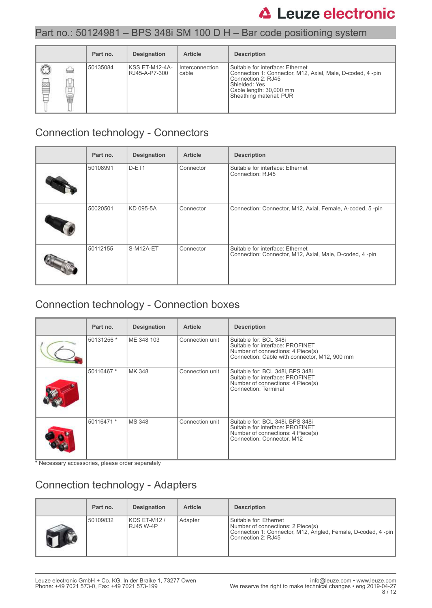### Part no.: 50124981 – BPS 348i SM 100 D H – Bar code positioning system

|                 | Part no. | <b>Designation</b>               | <b>Article</b>           | <b>Description</b>                                                                                                                                                                           |
|-----------------|----------|----------------------------------|--------------------------|----------------------------------------------------------------------------------------------------------------------------------------------------------------------------------------------|
| ▣<br>استا<br>甘量 | 50135084 | IKSS ET-M12-4A-<br>RJ45-A-P7-300 | Interconnection<br>cable | l Suitable for interface: Ethernet<br>Connection 1: Connector, M12, Axial, Male, D-coded, 4-pin<br>Connection 2: RJ45<br>Shielded: Yes<br>Cable length: 30,000 mm<br>Sheathing material: PUR |

### Connection technology - Connectors

| Part no. | <b>Designation</b> | <b>Article</b> | <b>Description</b>                                                                          |
|----------|--------------------|----------------|---------------------------------------------------------------------------------------------|
| 50108991 | D-ET1              | Connector      | Suitable for interface: Ethernet<br>Connection: RJ45                                        |
| 50020501 | KD 095-5A          | Connector      | Connection: Connector, M12, Axial, Female, A-coded, 5-pin                                   |
| 50112155 | S-M12A-ET          | Connector      | Suitable for interface: Ethernet<br>Connection: Connector, M12, Axial, Male, D-coded, 4-pin |

# Connection technology - Connection boxes

| Part no.   | <b>Designation</b> | <b>Article</b>  | <b>Description</b>                                                                                                                               |
|------------|--------------------|-----------------|--------------------------------------------------------------------------------------------------------------------------------------------------|
| 50131256 * | ME 348 103         | Connection unit | Suitable for: BCL 348i<br>Suitable for interface: PROFINET<br>Number of connections: 4 Piece(s)<br>Connection: Cable with connector, M12, 900 mm |
| 50116467 * | MK 348             | Connection unit | Suitable for: BCL 348i, BPS 348i<br>Suitable for interface: PROFINET<br>Number of connections: 4 Piece(s)<br>Connection: Terminal                |
| 50116471 * | MS 348             | Connection unit | Suitable for: BCL 348i, BPS 348i<br>Suitable for interface: PROFINET<br>Number of connections: 4 Piece(s)<br>Connection: Connector, M12          |

\* Necessary accessories, please order separately

# Connection technology - Adapters

| Part no. | <b>Designation</b>        | <b>Article</b> | <b>Description</b>                                                                                                                                  |
|----------|---------------------------|----------------|-----------------------------------------------------------------------------------------------------------------------------------------------------|
| 50109832 | KDS ET-M12 /<br>RJ45 W-4P | Adapter        | l Suitable for: Ethernet<br>Number of connections: 2 Piece(s)<br>Connection 1: Connector, M12, Angled, Female, D-coded, 4-pin<br>Connection 2: RJ45 |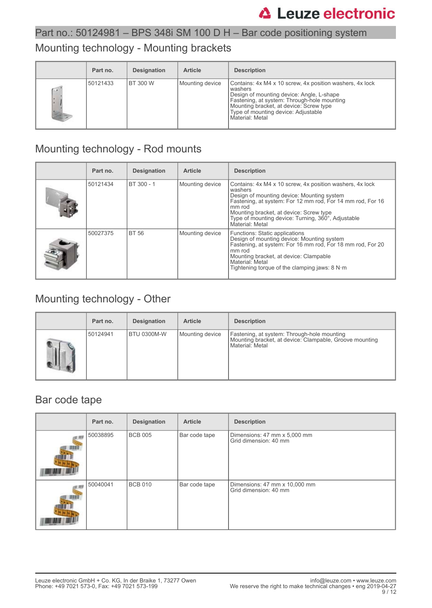### Mounting technology - Mounting brackets

|                                                                       | Part no. | <b>Designation</b> | <b>Article</b>  | <b>Description</b>                                                                                                                                                                                                                                                     |
|-----------------------------------------------------------------------|----------|--------------------|-----------------|------------------------------------------------------------------------------------------------------------------------------------------------------------------------------------------------------------------------------------------------------------------------|
| $\left( \begin{array}{cc} \bullet & \circ \end{array} \right)$<br>I÷. | 50121433 | <b>BT 300 W</b>    | Mounting device | Contains: 4x M4 x 10 screw, 4x position washers, 4x lock<br>washers<br>Design of mounting device: Angle, L-shape<br>Fastening, at system: Through-hole mounting<br>Mounting bracket, at device: Screw type<br>Type of mounting device: Adjustable<br>l Material: Metal |

# Mounting technology - Rod mounts

| Part no. | <b>Designation</b> | <b>Article</b>  | <b>Description</b>                                                                                                                                                                                                                                                                                            |
|----------|--------------------|-----------------|---------------------------------------------------------------------------------------------------------------------------------------------------------------------------------------------------------------------------------------------------------------------------------------------------------------|
| 50121434 | BT 300 - 1         | Mounting device | Contains: 4x M4 x 10 screw, 4x position washers, 4x lock<br>washers<br>Design of mounting device: Mounting system<br>Fastening, at system: For 12 mm rod, For 14 mm rod, For 16<br>mm rod<br>Mounting bracket, at device: Screw type<br>Type of mounting device: Turning, 360°, Adjustable<br>Material: Metal |
| 50027375 | <b>BT 56</b>       | Mounting device | <b>Functions: Static applications</b><br>Design of mounting device: Mounting system<br>Fastening, at system: For 16 mm rod, For 18 mm rod, For 20<br>mm rod<br>Mounting bracket, at device: Clampable<br>Material: Metal<br>Tightening torque of the clamping jaws: $8 N·m$                                   |

# Mounting technology - Other

| Part no. | <b>Designation</b> | <b>Article</b>  | <b>Description</b>                                                                                                        |
|----------|--------------------|-----------------|---------------------------------------------------------------------------------------------------------------------------|
| 50124941 | BTU 0300M-W        | Mounting device | Fastening, at system: Through-hole mounting<br>Mounting bracket, at device: Clampable, Groove mounting<br>Material: Metal |

### Bar code tape

| Part no. | <b>Designation</b> | <b>Article</b> | <b>Description</b>                                     |
|----------|--------------------|----------------|--------------------------------------------------------|
| 50038895 | <b>BCB 005</b>     | Bar code tape  | Dimensions: 47 mm x 5,000 mm<br>Grid dimension: 40 mm  |
| 50040041 | <b>BCB 010</b>     | Bar code tape  | Dimensions: 47 mm x 10,000 mm<br>Grid dimension: 40 mm |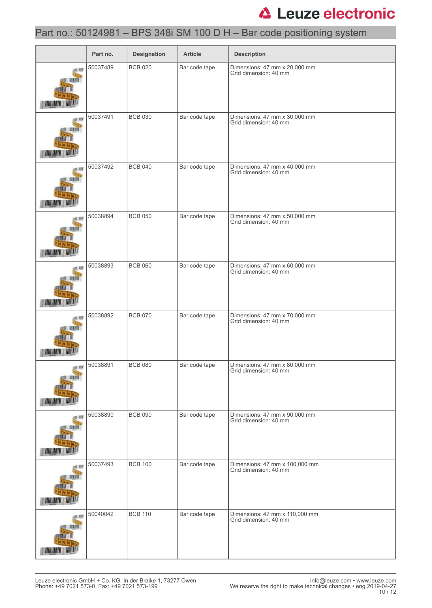# Part no.: 50124981 – BPS 348i SM 100 D H – Bar code positioning system

|   | Part no. | <b>Designation</b> | <b>Article</b> | <b>Description</b>                                      |
|---|----------|--------------------|----------------|---------------------------------------------------------|
|   | 50037489 | <b>BCB 020</b>     | Bar code tape  | Dimensions: 47 mm x 20,000 mm<br>Grid dimension: 40 mm  |
|   | 50037491 | <b>BCB 030</b>     | Bar code tape  | Dimensions: 47 mm x 30,000 mm<br>Grid dimension: 40 mm  |
|   | 50037492 | <b>BCB 040</b>     | Bar code tape  | Dimensions: 47 mm x 40,000 mm<br>Grid dimension: 40 mm  |
|   | 50038894 | <b>BCB 050</b>     | Bar code tape  | Dimensions: 47 mm x 50,000 mm<br>Grid dimension: 40 mm  |
| m | 50038893 | <b>BCB 060</b>     | Bar code tape  | Dimensions: 47 mm x 60,000 mm<br>Grid dimension: 40 mm  |
|   | 50038892 | <b>BCB 070</b>     | Bar code tape  | Dimensions: 47 mm x 70,000 mm<br>Grid dimension: 40 mm  |
|   | 50038891 | <b>BCB 080</b>     | Bar code tape  | Dimensions: 47 mm x 80,000 mm<br>Grid dimension: 40 mm  |
|   | 50038890 | <b>BCB 090</b>     | Bar code tape  | Dimensions: 47 mm x 90,000 mm<br>Grid dimension: 40 mm  |
|   | 50037493 | <b>BCB 100</b>     | Bar code tape  | Dimensions: 47 mm x 100,000 mm<br>Grid dimension: 40 mm |
|   | 50040042 | <b>BCB 110</b>     | Bar code tape  | Dimensions: 47 mm x 110,000 mm<br>Grid dimension: 40 mm |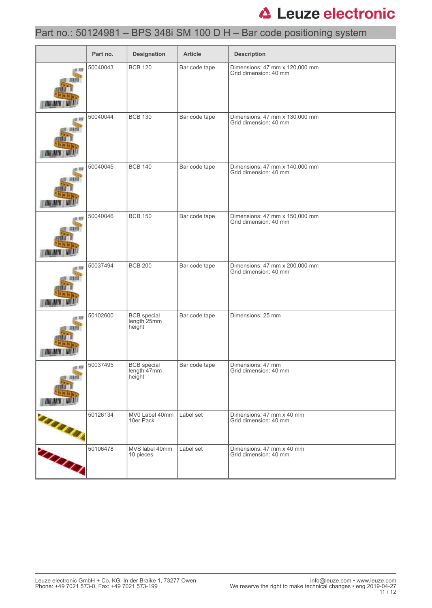# Part no.: 50124981 – BPS 348i SM 100 D H – Bar code positioning system

|              | Part no. | <b>Designation</b>                          | <b>Article</b> | <b>Description</b>                                      |
|--------------|----------|---------------------------------------------|----------------|---------------------------------------------------------|
|              | 50040043 | <b>BCB 120</b>                              | Bar code tape  | Dimensions: 47 mm x 120,000 mm<br>Grid dimension: 40 mm |
|              | 50040044 | <b>BCB 130</b>                              | Bar code tape  | Dimensions: 47 mm x 130,000 mm<br>Grid dimension: 40 mm |
|              | 50040045 | <b>BCB 140</b>                              | Bar code tape  | Dimensions: 47 mm x 140,000 mm<br>Grid dimension: 40 mm |
| 1,810        | 50040046 | <b>BCB 150</b>                              | Bar code tape  | Dimensions: 47 mm x 150,000 mm<br>Grid dimension: 40 mm |
|              | 50037494 | <b>BCB 200</b>                              | Bar code tape  | Dimensions: 47 mm x 200,000 mm<br>Grid dimension: 40 mm |
|              | 50102600 | <b>BCB</b> special<br>length 25mm<br>height | Bar code tape  | Dimensions: 25 mm                                       |
|              | 50037495 | BCB special<br>length 47mm<br>height        | Bar code tape  | Dimensions: 47 mm<br>Grid dimension: 40 mm              |
|              | 50126134 | MV0 Label 40mm<br>10er Pack                 | Label set      | Dimensions: 47 mm x 40 mm<br>Grid dimension: 40 mm      |
| <b>CELES</b> | 50106478 | MVS label 40mm<br>10 pieces                 | Label set      | Dimensions: 47 mm x 40 mm<br>Grid dimension: 40 mm      |